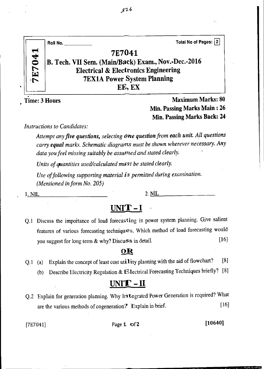| 041 | Total No of Pages: 2<br>Roll No.                    |
|-----|-----------------------------------------------------|
|     | 7E7041                                              |
|     | B. Tech. VII Sem. (Main/Back) Exam., Nov.-Dec.-2016 |
| E7  | <b>Electrical &amp; Electronics Engineering</b>     |
|     | <b>7EX1A Power System Planning</b>                  |
|     | EE, EX                                              |

Time: 3 Hours Maximum Marks: 80 Min. Passing Marks Main : 26 Min. Passing Marks Back: 24

*Instructions to Candidates:* 

*Attempt any five questions, selecting one question from each unit. All questions carry equal marks. Schematic diagrams must be shown wherever necessary. Any data you feel missing suitably be assumed and stated clearly.* 

*Units of quantities used/calculated must be stated clearly.* 

*Use of following supporting material is permitted during examination. (Mentioned in form No. 205)* 

1. NIL 2. NIL

### **UNIT-1**

Q.1 Discuss the importance of load forecasting in power system planning. Give salient features of various forecasting techniques. Which method of load forecasting would you suggest for long term  $\&$  why? Discuss in detail. [16]

#### OR

- Q.1 (a) Explain the concept of least cost utility planning with the aid of flowchart? [8]
	- (b) Describe Electricity Regulation & Electrical Forecasting Techniques briefly? [8]

### **UNIT - II**

Q.2 Explain for generation planning. Why Integrated Power Generation is required? What are the various methods of cogeneration? Explain in brief. [16]

[7E7041] **Page 1 of 2 [10640]**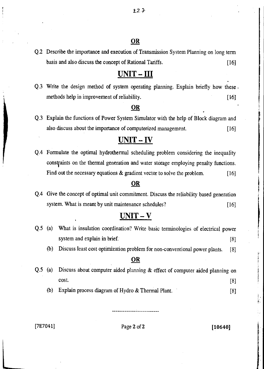### OR

Q.2 Describe the importance and execution of Transmission System Planning on long term basis and also discuss the concept of Rational Tariffs. [16]

### UNIT - III

Q.3 Write the design method of system operating planning. Explain briefly how these . methods help in improvement of reliability. [16]

#### OR

Q.3 Explain the functions of Power System Simulator with the help of Block diagram and also discuss about the importance of computerized management. [16]

### UNIT - IV

Q.4 Formulate the optimal hydrothermal scheduling problem considering the inequality constfaints on the thermal generation and water storage employing penalty functions. Find out the necessary equations & gradient vector to solve the problem. [16]

#### OR

Q.4 Give the concept of optimal unit commitment. Discuss the reliability based generation system. What is meant by unit maintenance schedules? [16]

### $UNIT - V$

- Q.5 (a) What is insulation coordination? Write basic terminologies of electrical power system and explain in brief. [8]
	- (b) Discuss least cost optimization problem for non-conventional power plants. [8]

#### OR

- Q.5 (a) Discuss about computer aided planning & effect of computer aided planning on  $\cosh$ . [8]
	- (b) Explain process diagram of Hydro & Thermal Plant. [8]

#### $[7E7041]$  Page 2 of 2 [10640]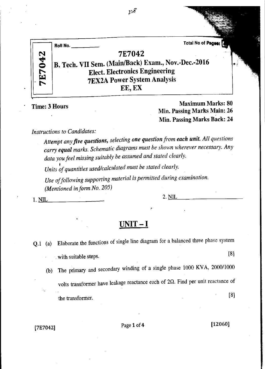|       | Total No of Pages:<br>Roll No.                                                                                                                         |     |
|-------|--------------------------------------------------------------------------------------------------------------------------------------------------------|-----|
| E7042 | 7E7042<br>B. Tech. VII Sem. (Main/Back) Exam., Nov.-Dec.-2016<br><b>Elect. Electronics Engineering</b><br><b>7EX2A Power System Analysis</b><br>EE, EX | I O |

 $\nu^g$ 

Time: 3 Hours Maximum Marks: 80 Min. Passing Marks Main: 26 Min. Passing Marks Back: 24

*Instructions to Candidates:* 

*Attempt any five questions, selecting one question from each unit. All questions carry equal marks. Schematic diagrams must be shown wherever necessary. Any data you feel missing suitably be assumed and stated clearly.* 

*• Units of quantities used/calculated must be stated clearly.* 

*Use of following supporting material is permitted during examination. (Mentioned in form No. 205)* 

 $1. \underline{\text{NIL}}$  2.  $\underline{\text{NIL}}$  2. NIL

### **UNIT - I**

- Q.1 (a) Elaborate the functions of single line diagram for a balanced three phase system with suitable steps.  $[8]$ 
	- (b) The primary and secondary winding of a single phase 1000 KVA, 2000/1000 volts transformer have leakage reactance each of  $2\Omega$ . Find per unit reactance of the transformer. [8]

 $[7E7042]$  Page 1 of 4 [12060]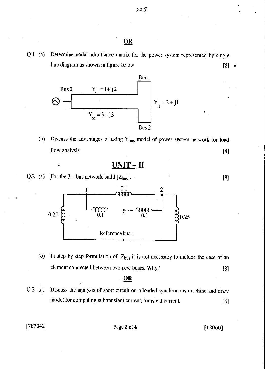Q.1 (a) Determine nodal admittance matrix for the power system represented by single line diagram as shown in figure below



(b) Discuss the advantages of using  $Y_{bus}$  model of power system network for load flow analysis. [8]

$$
\overline{\text{UNIT} - \text{II}}
$$

Q.2 (a) For the 3 – bus network build  $[Z_{bus}]$ . [8]



(b) In step by step formulation of  $Z_{bus}$  it is not necessary to include the case of an element connected between two new buses. Why? [8]

#### **OR**

Q.2 (a) Discuss the analysis of short circuit on a loaded synchronous machine and draw model for computing subtransient current, transient current. [8]

 $[7E7042]$  Page 2 of 4 [12060]

$$
[8] \quad \bullet
$$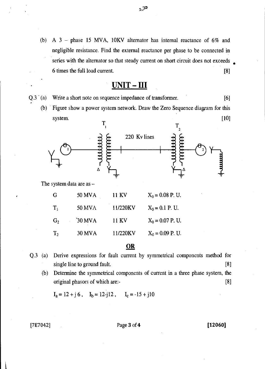(b) A 3 — phase 15 MVA, 10KV alternator has internal reactance of 6% and negligible resistance. Find the external reactance per phase to be connected in series with the alternator so that steady current on short circuit does not exceeds 6 times the full load current. [8]

### <u>UNIT – III</u>

- Q.3 (a) Write a short note on sequence impedance of transformer. [6]
	- (b) Figure show a power system network. Draw the Zero Sequence diagram for this system.  $[10]$



The system data are as —

| G              | 50 MVA        | 11 KV    | $X_0 = 0.08$ P. U. |
|----------------|---------------|----------|--------------------|
| $T_{1}$        | <b>50 MVA</b> | 11/220KV | $X_0 = 0.1$ P. U.  |
| G <sub>2</sub> | <b>30 MVA</b> | 11 KV    | $X_0 = 0.07$ P. U. |
| T <sub>2</sub> | <b>30 MVA</b> | 11/220KV | $X_0 = 0.09$ P. U. |

#### **OR**

Q.3 (a) Derive expressions for fault current by symmetrical components method for single line to ground fault. [8]

(b) Determine the symmetrical components of current in a three phase system, the original phasors of which are:- [8]

 $I_a = 12 + j6$ ,  $I_b = 12-j12$ ,  $I_c = -15 + j10$ 

[7E7042] Page 3 of 4 [12060]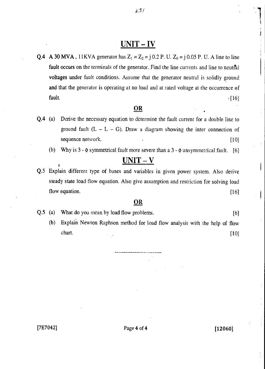### UNIT - IV

Q.4 A 30 MVA, 11KVA generator has  $Z_1 = Z_2 = j \, 0.2$  P. U.  $Z_0 = j \, 0.05$  P. U. A line to line fault occurs on the terminals of the generator. Find the line currents and line to neutral voltages under fault conditions. Assume that the generator neutral is solidly ground and that the generator is operating at no load and at rated voltage at the occurrence of fault occurs on the terminals of the generator. Find the line currents and line to neutral<br>voltages under fault conditions. Assume that the generator neutral is solidly ground<br>and that the generator is operating at no loa

#### **OR**

- Q.4 (a) Derive the necessary equation to determine the fault current for a double line to ground fault  $(L - L - G)$ . Draw a diagram showing the inter connection of sequence network. [10]
	- (b) Why is  $3 \phi$  symmetrical fault more severe than a  $3 \phi$  unsymmetrical fault. [6]

### $UNIT - V$

Q.5 Explain different type of buses and variables in given power system. Also derive steady state load flow equation. Also give assumption and restriction for solving load steady state load flow equation. Also give assumption and restriction for solving load<br>flow equation. [16]

#### OR

|  | Q.5 (a) What do you mean by load flow problems. | [6] |
|--|-------------------------------------------------|-----|
|  |                                                 |     |

(b) Explain Newton Raphson method for load flow analysis with the help of flow chart. [10]

 $\mathbf{I}$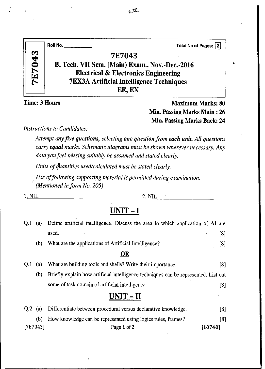|               | <b>Roll No.</b> ____<br>Total No of Pages: 2    |
|---------------|-------------------------------------------------|
|               | 7E7043                                          |
| <b>7E7043</b> | B. Tech. VII Sem. (Main) Exam., Nov.-Dec.-2016  |
|               | <b>Electrical &amp; Electronics Engineering</b> |
|               | <b>7EX3A Artificial Intelligence Techniques</b> |
|               | EE, EX                                          |

-Time: 3 Hours **Maximum Marks: 80** Min. Passing Marks Main : 26 Min. Passing Marks Back: 24

*Instructions to Candidates:* 

*Attempt any five questions, selecting one question from each unit. All questions carry equal marks. Schematic diagrams must be shown wherever necessary. Any data you feel missing suitably be assumed and stated clearly.* 

*Units of q'hantities used/calculated must be stated clearly.* 

*Use of following supporting material is permitted during examination. (Mentioned in form No. 205)* 

 $1. NIL$  2.  $NIL$  2.  $NIL$ 

### **UNIT — I**

| O.1 | (a) | Define artificial intelligence. Discuss the area in which application of AI are     |     |
|-----|-----|-------------------------------------------------------------------------------------|-----|
|     |     | used.                                                                               | [8] |
|     | (b) | What are the applications of Artificial Intelligence?                               | [8] |
|     |     | OR                                                                                  |     |
| Q.I | (a) | What are building tools and shells? Write their importance.                         | [8] |
|     | (b) | Briefly explain how artificial intelligence techniques can be represented. List out |     |
|     |     | some of task domain of artificial intelligence.                                     | [8] |
|     |     | $UNIT - II$                                                                         |     |
|     |     |                                                                                     |     |

| $[7E7043]$ | Page 1 of 2                                                            | [10740] |
|------------|------------------------------------------------------------------------|---------|
|            | (b) How knowledge can be represented using logics rules, frames?       | [8]     |
|            | Q.2 (a) Differentiate between procedural versus declarative knowledge. | [8]     |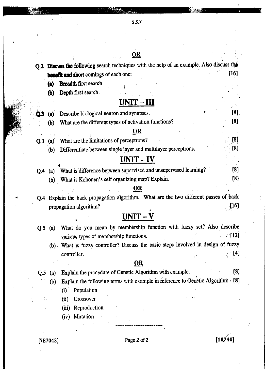# IIIIIIEallMMIIIMWnnjll1=11S1L9a t,fj

Q.2 Discuss the following search techniques with the help of an example. Also discuss the **benefit and short comings of each one:** [16]

**(a) Breadth** first search

**(b) Depth** first search

### UNIT- **HI**

|                 | (a)          | Describe biological neuron and synapses.                                          | [8]  |
|-----------------|--------------|-----------------------------------------------------------------------------------|------|
|                 | (b)          | What are the different types of activation functions?                             | [8]  |
|                 |              | OR                                                                                |      |
| Q <sub>.3</sub> |              | What are the limitations of perceptrons?                                          | [8]  |
|                 | $\mathbf{b}$ | Differentiate between single layer and multilayer perceptrons.                    | [8]  |
|                 |              | UNIT – IV                                                                         |      |
| O.4             | (a)          | What is difference between supervised and unsupervised learning?                  | [8]  |
|                 | (b)          | What is Kohonen's self organizing map? Explain.                                   | [8]  |
|                 |              | DR                                                                                |      |
| Q <sub>4</sub>  |              | Explain the back propagation algorithm. What are the two different passes of back |      |
|                 |              | propagation algorithm?                                                            | [16] |

# $UNIT - V$ </u>

|  | Q.5 (a) What do you mean by membership function with fuzzy set? Also describe     |                  |
|--|-----------------------------------------------------------------------------------|------------------|
|  | various types of membership functions.                                            | $\sim$ [12]      |
|  | (b) What is fuzzy controller? Discuss the basic steps involved in design of fuzzy |                  |
|  | controller.                                                                       | $\left(4\right)$ |

### **OR**

|  | Q.5 (a) Explain the procedure of Genetic Algorithm with example. | [8] |
|--|------------------------------------------------------------------|-----|
|  |                                                                  |     |

(b) Explain the following terms with example in reference to Genetic Algorithm - [8]

- (i) Population
- (ii) Crossover
- (iii) Reproduction
- (iv) Mutation

[7E7043] Page 2 of 2 **[10,74-0]**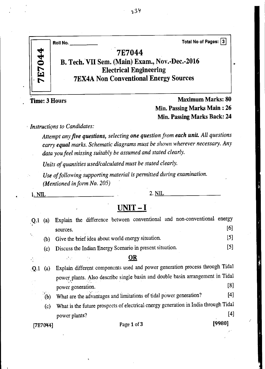

Time: 3 Hours **Maximum Marks: 80** Min. Passing Marks Main : 26 Min. Passing Marks Back: 24

*Instructions to Candidates:* 

*Attempt any five questions, selecting one question from each unit All questions carry equal marks. Schematic diagrams must be shown wherever necessary. Any data you feel missing suitably be assumed and stated clearly.* 

*Units of quantities used/calculated must be stated clearly.* 

*Use of following supporting material is permitted during examination. (Mentioned in form No. 205)* 

 $1. NIL$  2.  $NIL$  2.  $NIL$ 

### **UNIT - I**

| Q.1  | (a)        | Explain the difference between conventional and non-conventional energy             |        |
|------|------------|-------------------------------------------------------------------------------------|--------|
|      |            | sources.                                                                            | [6]    |
| Y,   | (b)        | Give the brief idea about world energy situation.                                   | $[5]$  |
|      | (c)        | Discuss the Indian Energy Scenario in present situation.                            | $[5]$  |
|      |            | <b>OR</b><br>$\mathcal{L}^{\text{max}}_{\text{max}}$                                |        |
| .Q.1 | (a)        | Explain different components used and power generation process through Tidal        |        |
|      |            | power plants. Also describe single basin and double basin arrangement in Tidal      |        |
|      |            | power generation.                                                                   | [8]    |
|      | $\log$ (b) | What are the advantages and limitations of tidal power generation?                  | [4]    |
|      | (c)        | What is the future prospects of electrical energy generation in India through Tidal |        |
|      |            | power plants?                                                                       | [4]    |
|      | [7E7044]   | Page 1 of 3                                                                         | [9980] |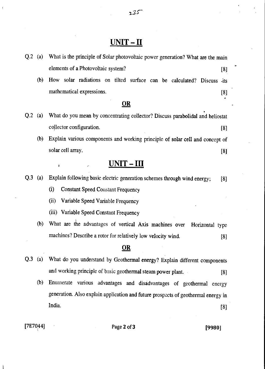### **UNIT - II**

| $Q.2$ (a)      |     | What is the principle of Solar photovoltaic power generation? What are the main |
|----------------|-----|---------------------------------------------------------------------------------|
|                |     | elements of a Photovoltaic system?<br>[8]                                       |
|                | (b) | How solar radiations on tilted surface can be calculated? Discuss<br>$-its$     |
|                |     | mathematical expressions.<br>[8]                                                |
|                |     | $\overline{OR}$                                                                 |
| Q.2            | (a) | What do you mean by concentrating collector? Discuss parabolidal and heliostat  |
|                |     | collector configuration.<br>[8]                                                 |
|                | (b) | Explain various components and working principle of solar cell and concept of   |
|                |     | solar cell array.<br>[8]                                                        |
|                |     | $UNIT-HII$<br>ŧ                                                                 |
| $Q.3$ (a)      |     | Explain following basic electric generation schemes through wind energy;<br>[8] |
|                |     | (i)<br><b>Constant Speed Constant Frequency</b>                                 |
|                |     | (ii)<br>Variable Speed Variable Frequency                                       |
|                |     | (iii) Variable Speed Constant Frequency                                         |
|                | (b) | What are the advantages of vertical Axis machines over<br>Horizontal type       |
|                |     | machines? Describe a rotor for relatively low velocity wind.<br>[8]             |
|                |     | <u>OR</u>                                                                       |
| Q <sub>3</sub> | (a) | What do you understand by Geothermal energy? Explain different components       |
|                |     | and working principle of basic geothermal steam power plant.<br>[8]             |

(b) Enumerate various advantages and disadvantages of geothermal energy generation. Also explain application and future prospects of geothermal energy in and working principle or basic geothermal steam power plant. [8]<br>Enumerate various advantages and disadvantages of geothermal energy<br>generation. Also explain application and future prospects of geothermal energy in<br>India.

[7E7044] Page **2** of **3 [9980]**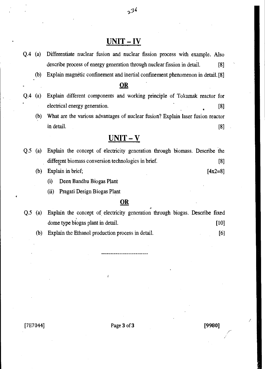### **UNIT - IV**

 $2^{36}$ 

- Q.4 (a) Differentiate nuclear fusion and nuclear fission process with example. Also describe process of energy generation through nuclear fission in detail. [8] (b) Explain magnetic confinement and inertial confinement phenomenon in detail. [8] **OR**  Q.4 (a) Explain different components and working principle of Tokamak reactor for electrical energy generation. [8] (b) What are the various advantages of nuclear fusion? Explain laser fusion reactor in detail.  $[8]$ **UNIT - V**  Q.5 (a) Explain the concept of electricity generation through biomass. Describe the different biomass conversion technologies in brief. [8] (b) Explain in brief;  $[4x2=8]$ 
	- (i) Deen Bandhu Biogas Plant
	- (ii) Pragati Design Biogas Plant

#### **OR**

Q.5 (a) Explain the concept of electricity generation through biogas. Describe fixed dome type biogas plant in detail. [10]

(b) Explain the Ethanol production process in detail. [6]

[7E7044] Page **3** of 3 **[9980]**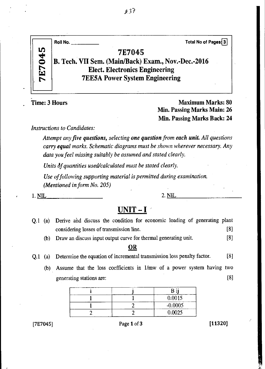|           | Total No of Pages 3<br>Roll No.                     |
|-----------|-----------------------------------------------------|
| LQ<br>4   | 7E7045                                              |
| $\bullet$ | B. Tech. VII Sem. (Main/Back) Exam., Nov.-Dec.-2016 |
| ا تن)     | <b>Elect. Electronics Engineering</b>               |
|           | <b>7EE5A Power System Engineering</b>               |
|           |                                                     |

Time: 3 Hours **Maximum Marks: 80** Min. Passing Marks Main: 26 Min. Passing Marks Back: 24

*Instructions to Candidates:* 

*Attempt any five questions, selecting one question from each unit. All questions carry equal marks. Schematic diagrams must be shown wherever necessary. Any data you feel missing suitably be assumed and stated clearly.* 

Units  $\delta f$  quantities used/calculated must be stated clearly.

*Use of following supporting material is permitted during examination. (Mentioned in form No. 205)* 

1. NIL 2. NIL

### **UNIT — I**

| 0.1 | (a) | Derive and discuss the condition for economic loading of generating plant      |
|-----|-----|--------------------------------------------------------------------------------|
|     |     | [8]<br>considering losses of transmission line.                                |
|     | (b) | Draw an discuss input output curve for thermal generating unit.<br>[8]         |
|     |     | <b>OR</b>                                                                      |
| O.I | (a) | [8]<br>Determine the equation of incremental transmission loss penalty factor. |
|     | (b) | Assume that the loss coefficients in 1/mw of a power system having two         |
|     |     | [8]<br>generating stations are:                                                |
|     |     | n ::                                                                           |

|  | 0.0015    |
|--|-----------|
|  | $-0.0005$ |
|  | 0.0025    |

[7E7045] **Page 1 of 3** [11320]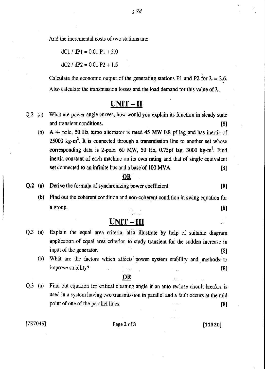And the incremental costs of two stations are:

 $dC1 / dP1 = 0.01 P1 + 2.0$ 

 $dC2 / dP2 = 0.01 P2 + 1.5$ 

Calculate the economic output of the generating stations P1 and P2 for  $\lambda = 2.6$ . Also calculate the transmission losses and the load demand for this value of  $\lambda$ ..

### **UNIT - II**

- Q.2 (a) What are power angle curves, how would you explain its function in sieady state and transient conditions. [8]
	- (b) A 4- pole, 50 Hz turbo alternator is rated 45 MW 0.8 pf lag and has inertia of  $25000 \text{ kg-m}^2$ . It is connected through a transmission line to another set whose corresponding data is 2-pole, 60 MW, 50 Hz, 0.75pf lag, 3000  $kg-m^2$ . Find inertia constant of each machine on its own rating and that of single equivalent set connected to an infinite bus and a base of  $100$  MVA. [8]

#### **OR**

- **Q.2 (a)** Derive the formula of synchronizing power coefficient. [8]
	- **(b)** Find out the coherent condition and non-coherent condition in swing equation for a group.  $[8]$

### **UNIT-** III

- Q.3 (a) Explain the equal area criteria, also illustrate by help of suitable diagram application of equal area criterion to study transient for the sudden increase in input of the generator. [8]
	- (b) What are the factors which affects power system stability and methods to improve stability? [8]

#### **OR**

Q.3 (a) Find out equation for critical cleaning angle if an auto reclose circuit breaker is used in a system having two transmission in parallel and a fault occurs at the mid point of one of the parallel lines. [8]

 $[7E7045]$  Page 2 of 3 [11320]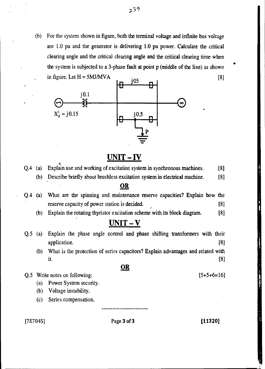(b) For the system shown in figure, both the terminal voltage and infinite bus voltage are 1.0 pu and the generator is delivering 1.0 pu power. Calculate the critical clearing angle and the critical clearing angle and the critical clearing time when the system is subjected to a 3-phase fault at point p (middle of the line) as shown



### **UNIT - IV**

- Q.4 (a) Explain use and working of excitation system in synchronous machines. [8]
	- (b) Describe briefly about brushless excitation system in electrical machine. [8]

#### **OR**

- Q.4 (a) What are the spinning and maintenance reserve capacities? Explain how the reserve capacity of power station is decided. [8]
	- (b) Explain the rotating thyristor excitation scheme with its block diagram. [8]

### **UNIT - V**

- Q.5 (a) Explain the phase angle control and phase shifting transformers with their application. [8]
	- (b) What is the protection of series capacitors? Explain advantages and related with it.  $[8]$

#### **OR**

Q.5 Write notes on following:

- (a) Power System security.
- (b) Voltage instability.
- (c) Series compensation.

 $[7E7045]$  Page 3 of 3 [11320]

 $[5+5+6=16]$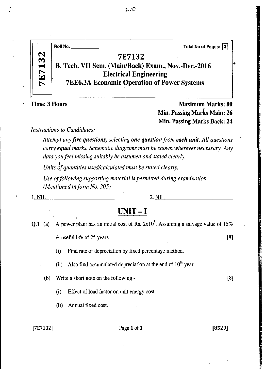|  |    | Total No of Pages: 3<br>Roll No.                    |
|--|----|-----------------------------------------------------|
|  | 32 | 7E7132                                              |
|  |    | B. Tech. VII Sem. (Main/Back) Exam., Nov.-Dec.-2016 |
|  | E  | <b>Electrical Engineering</b>                       |
|  |    | <b>7EE6.3A Economic Operation of Power Systems</b>  |
|  |    |                                                     |

• Time: 3 Hours Maximum Marks: 80 Min. Passing Marks Main: 26 Min. Passing Marks Back: 24

*Instructions to Candidates:* 

*Attempt any five questions, selecting one question from each unit. All questions carry equal marks. Schematic diagrams must be shown wherever necessary. Any data you feel missing suitably be assumed and stated clearly.* 

*t Units of quantities used/calculated must be stated clearly.* 

*Use of following supporting material is permitted during examination. (Mentioned in form No. 205)* 

1. NIL 2. NIL 2.

### **UNIT — I**

- Q.1 (a) A power plant has an initial cost of Rs.  $2x10<sup>8</sup>$ . Assuming a salvage value of 15%  $\&$  useful life of 25 years - [8]
	- (i) Find rate of depreciation by fixed percentage method.

(ii) Also find accumulated depreciation at the end of  $10<sup>th</sup>$  year.

(b) Write a short note on the following - [8]

(i) Effect of load factor on unit energy cost

(ii) Annual fixed cost.

[7E7132] Page 1 of **3 [8520]**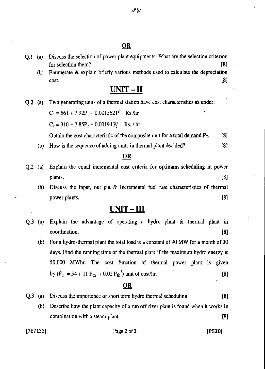#### OR

- Q.1 (a) Discuss the selection of power plant equipments. What are the selection criterion for selection them? [8]
	- (b) Enumerate & explain briefly various methods used to calculate the depreciation  $\text{cost.}$   $[8]$

### **UNIT-II**

**Q.2 (a)** Two generating units of a thermal station have cost characteristics **as under:** 

 $C_1 = 561 + 7.92P_1 + 0.001562P_1^2$  Rs./hr

 $C_2 = 310 + 7.85P_2 + 0.00194P_2^2$  Rs. / hr

Obtain the cost characteristic of the composite unit for a total demand  $P_T$ . [8]

**(b)** How is the sequence of adding units in thermal plant decided? [8]

#### **OR**

- Q.2 (a) Explain the equal incremental cost criteria for optimum **scheduling in power**  plants. [8]
	- (b) Discuss the input, out put & incremental fuel rate characteristics of thermal power plants. [8]

### **UNIT - III**

- Q.3 (a) Explain the advantage of operating a hydro plant & thermal plant in coordination. [8]
	- (b) For a hydro-thermal plant the total load is a constant of 90 **MW** for a month of 30 days. Find the running time of the thermal plant if the maximum hydro energy is 50,000 MWhr. The cost function of thermal power plant is given by  $(F_C = 54 + 11 P_{th} + 0.02 P_{th}^2)$  unit of cost/hr. [8]

#### **OR**

- Q.3 (a) Discuss the importance of short term hydro thermal scheduling. [8]
	- (b) Describe how the plant capacity of a run off river plant is found when it works in combination with a steam plant. [8]

#### [7E7132] Page **2 of 3 [8520]**

ç,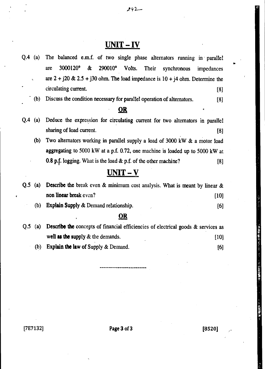### **UNIT - IV**

- Q.4 (a) The balanced e.m.f. of two single phase alternators running in parallel are 3000120° & 290010° Volts. Their synchronous impedances are  $2 + j20 \& 2.5 + j30$  ohm. The load impedance is  $10 + j4$  ohm. Determine the circulating current. [8]
	- (b) Discuss the condition necessary for parallel operation of alternators. [8]

### **2K**

- Q.4 (a) Deduce the expression for circulating current for two alternators in parallel sharing of load current. [8]
	- (b) Two alternators working in parallel supply a load of 3000 kW & a motor load aggregating to 5000 kW at a p.f. 0.72, one machine is loaded up to 5000 kW at 0.8 p.f. logging. What is the load  $\&$  p.f. of the other machine? [8]

### **UNIT - V**

|  | Q.5 (a) Describe the break even & minimum cost analysis. What is meant by linear & |      |
|--|------------------------------------------------------------------------------------|------|
|  | non linear break even?                                                             | [10] |
|  | (b) Explain Supply & Demand relationship.                                          | [6]  |

#### **OR**

Q.5 (a) **Describe the** concepts of financial efficiencies of electrical goods & services as well as the supply & the demands. [10] (b) **Explain the law of** Supply & Demand. [6]

 $[7E7132]$  Page 3 of 3 [8520]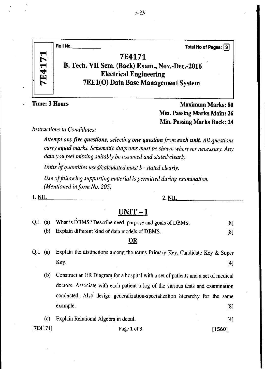|       | Roll No.<br>Total No of Pages: 3               |
|-------|------------------------------------------------|
| E4171 | 7E4171                                         |
|       | B. Tech. VII Sem. (Back) Exam., Nov.-Dec.-2016 |
|       | <b>Electrical Engineering</b>                  |
|       | <b>7EE1(O)</b> Data Base Management System     |
|       |                                                |

**Fime: 3 Hours Maximum Marks: 80 Maximum Marks: 80 Maximum Marks: 80 Min. Passing Marks Main: 26 Min. Passing Marks Back: 24** 

*Instructions to Candidates:* 

*Attempt any five questions, selecting one question from each unit All questions carry equal marks. Schematic diagrams must be shown wherever necessary. Any data you feel missing suitably be assumed and stated clearly.* 

*Units of quantities used/calculated must b • stated clearly.* 

*Use of following supporting material is permitted during examination. (Mentioned in form No. 205)* 

#### $1. \underline{\text{NIL}}$  2.  $\underline{\text{NIL}}$  2.  $\underline{\text{NIL}}$

### **UNIT — I**

|  | Q.1 (a) What is DBMS? Describe need, purpose and goals of DBMS. | [8] |
|--|-----------------------------------------------------------------|-----|
|  | (b) Explain different kind of data models of DBMS.              | [8] |

#### **OR**

**Q.1** (a) Explain the distinctions among the terms Primary Key, Candidate Key & Super Key.  $[4]$ 

(b) Construct an ER Diagram for a hospital with a set of patients and a set of medical doctors. Associate with each patient a log of the various tests and examination<br>conducted. Also design generalization-specialization hierarchy for the same<br>example. [8] conducted. Also design generalization-specialization hierarchy for the same

|  | (c) Explain Relational Algebra in detail. |  |  |
|--|-------------------------------------------|--|--|
|--|-------------------------------------------|--|--|

 $[7E4171]$  Page 1 of 3 [1560]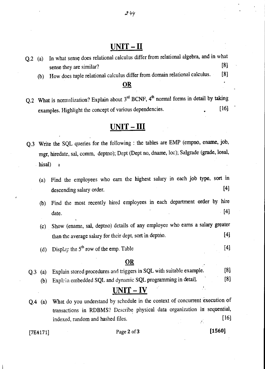### **UNIT -** II

0? 9y

Q.2 (a) In what sense does relational calculus differ from relational algebra, and in what sense they are similar? [8] (b) How does tuple relational calculus differ from domain relational calculus. [8]

#### OR

Q.2 What is normalization? Explain about  $3<sup>rd</sup>$  BCNF,  $4<sup>th</sup>$  normal forms in detail by taking examples. Highlight the concept of various dependencies. [16]

### **UNIT - III**

- Q.3 Write the SQL queries for the following : the tables are EMP (empno, ename, job, mgr, hiredate, sal, comm, deptno); Dept (Dept no, dname, loc); Salgrade (grade, losal, hisal)
	- (a) Find the employees who earn the highest salary in each job type, sort in descending salary order. [4]
	- (b) Find the most recently hired employees in each department order by hire date.  $[4]$
	- (c) Show (ename, sal, deptno) details of any employee who earns a salary greater than the average salary for their dept, sort in deptno. [4]
	- (d) Display the  $5<sup>th</sup>$  row of the emp. Table [4]

#### OR

Q.3 (a) Explain stored procedures and triggers in SQL with suitable example. [8] (b) Explain embedded SQL and dynamic SQL programming in detail. [8]

### **UNIT - IV**

Q.4 (a) What do you understand by schedule in the context of concurrent execution of transactions in RDBMS? Describe physical data organization in sequential, indexed, random and hashed files. [16]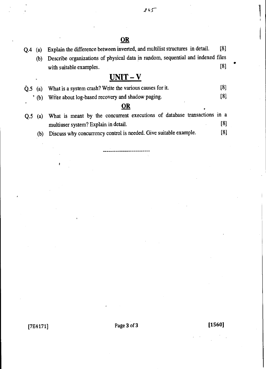### **OR**

Q.4 (a) Explain the difference between inverted, and multilist structures in detail. [8] (b) Describe organizations of physical data in random, sequential and indexed files with suitable examples. [8]

### **UNIT - V**

|  |  | $\dot{Q}$ .5 (a) What is a system crash? Write the various causes for it. | [8] |  |
|--|--|---------------------------------------------------------------------------|-----|--|
|--|--|---------------------------------------------------------------------------|-----|--|

<sup>\*</sup> (b) Write about log-based recovery and shadow paging. [8]

#### **OR**

- Q.5 (a) What is meant by the concurrent executions of database transactions in a  $[8]$ multiuser system? Explain in detail.
	- (b) Discuss why concurrency control is needed. Give suitable example.  $[8]$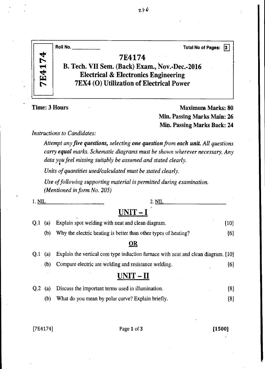|                    | Roll No.<br><b>Total No of Pages:</b><br> 3                                                                                                             |
|--------------------|---------------------------------------------------------------------------------------------------------------------------------------------------------|
| 74<br><b>7E41'</b> | 7E4174<br>B. Tech. VII Sem. (Back) Exam., Nov.-Dec.-2016<br><b>Electrical &amp; Electronics Engineering</b><br>7EX4 (O) Utilization of Electrical Power |

Time: 3 Hours Maximum Marks: 80 Min. Passing Marks Main: 26 Min. Passing Marks Back: 24

*Instructions to Candidates:* 

*Attempt any five questions, selecting one question from each unit. All questions carry equal marks. Schematic diagrams must be shown wherever necessary. Any data you feel missing suitably be assumed and stated clearly.* 

*Units of quantities used/calculated must be stated clearly.* 

*Use of following supporting material is permitted during examination. (Mentioned in form No. 205)* 

| 1. NIL         |     | 2. NIL                                                                             |        |
|----------------|-----|------------------------------------------------------------------------------------|--------|
|                |     | UNIT – I                                                                           |        |
| 0.1            | (a) | Explain spot welding with neat and clean diagram.                                  | $[10]$ |
|                | (b) | Why the electric heating is better than other types of heating?                    | [6]    |
|                |     | OR                                                                                 |        |
| 0.1            | (a) | Explain the vertical core type induction furnace with neat and clean diagram. [10] |        |
|                | (b) | Compare electric are welding and resistance welding.                               | [6]    |
|                |     | UNIT<br>$-11$                                                                      |        |
| Q <sub>2</sub> | (a) | Discuss the important terms used in illumination.                                  | [8]    |

(b) What do you mean by polar curve? Explain briefly. [8]

[7E4174] Page 1 of 3 [1500]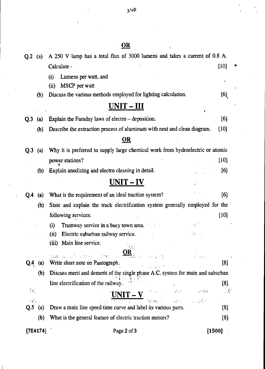|                 |          | OR                                                                                                                                                                                                                                                                                 |                      |
|-----------------|----------|------------------------------------------------------------------------------------------------------------------------------------------------------------------------------------------------------------------------------------------------------------------------------------|----------------------|
| $Q.2$ (a)       |          | A 250 V lamp has a total flux of 3000 lumens and takes a current of 0.8 A.                                                                                                                                                                                                         |                      |
|                 |          | Calculate -                                                                                                                                                                                                                                                                        | [10]                 |
|                 |          | Lumens per watt, and<br>(i)                                                                                                                                                                                                                                                        |                      |
|                 |          | MSCP per watt<br>(ii)                                                                                                                                                                                                                                                              |                      |
|                 | (b)      | Discuss the various methods employed for lighting calculation.                                                                                                                                                                                                                     | [6]                  |
|                 |          | <u>UNIT – III</u>                                                                                                                                                                                                                                                                  | 4                    |
| Q <sub>.3</sub> | (a)      | Explain the Faraday laws of electro – deposition.                                                                                                                                                                                                                                  | [6]                  |
|                 | (b)      | Describe the extraction process of aluminum with neat and clean diagram.                                                                                                                                                                                                           | $[10]$               |
|                 |          | OR                                                                                                                                                                                                                                                                                 |                      |
| O.3             | (a)      | Why it is preferred to supply large chemical work from hydroelectric or atomic                                                                                                                                                                                                     |                      |
|                 |          | power stations?                                                                                                                                                                                                                                                                    | [10]                 |
|                 | (b)      | Explain anodizing and electro cleaning in detail.                                                                                                                                                                                                                                  | [6]                  |
|                 |          | <u> UNIT – IV</u>                                                                                                                                                                                                                                                                  |                      |
| Q.4             | (a)      | What is the requirement of an ideal traction system?                                                                                                                                                                                                                               | [6]                  |
|                 | (b)      | State and explain the track electrification system generally employed for the                                                                                                                                                                                                      |                      |
|                 |          | following services:                                                                                                                                                                                                                                                                | $[10]$               |
|                 |          | Tramway service in a busy town area.<br>(i)<br>可能的                                                                                                                                                                                                                                 |                      |
|                 |          | Electric suburban railway service.<br>(ii)                                                                                                                                                                                                                                         |                      |
|                 |          | (iii) Main line service.                                                                                                                                                                                                                                                           |                      |
|                 |          | e<br>Geboortes<br>$280$ in a $\sqrt{2}$ and $\infty$<br>$\sim 10^{11}$ and $\sigma$<br>$\mathcal{F}(\mathcal{F},\mathcal{F})$<br>经自动性                                                                                                                                              |                      |
|                 | (a)      | Write short note on Pantograph.<br>in a little print                                                                                                                                                                                                                               | [8]                  |
|                 | (b)      | Discuss merit and demerit of the single phase A.C. system for main and suburban                                                                                                                                                                                                    |                      |
| $\sim$ ( $\sim$ |          | line electrification of the railway.<br>$\label{eq:G} \mathcal{G}^{\bullet}_{\alpha} \mathcal{L}_{\beta}(\mathbb{R}^d) = \mathcal{I}^{\bullet}_{\alpha} \mathcal{F}^{\bullet}_{\beta}(\mathbb{R}^d) = \mathcal{I}^{\bullet}_{\alpha} \mathcal{D}^{\bullet}_{\alpha}(\mathbb{R}^d)$ | [8]<br>$\mathcal{A}$ |
| -18)            |          | $UNIT -$<br>$\label{eq:3} \mathcal{L} = \mathcal{L} \mathcal{L} \mathcal{L} \mathcal{L} = \mathcal{L} \mathcal{L} \mathcal{L} \mathcal{L} \mathcal{L}^2$<br>なりとの                                                                                                                   |                      |
| Q.5             | (a)      | Draw a main line speed time curve and label its various parts.                                                                                                                                                                                                                     | [8]                  |
|                 | (b)      | What is the general feature of electric traction motors?                                                                                                                                                                                                                           | [8]                  |
|                 | [7E4174] | Page 2 of 3                                                                                                                                                                                                                                                                        | [1500]               |

 $247$